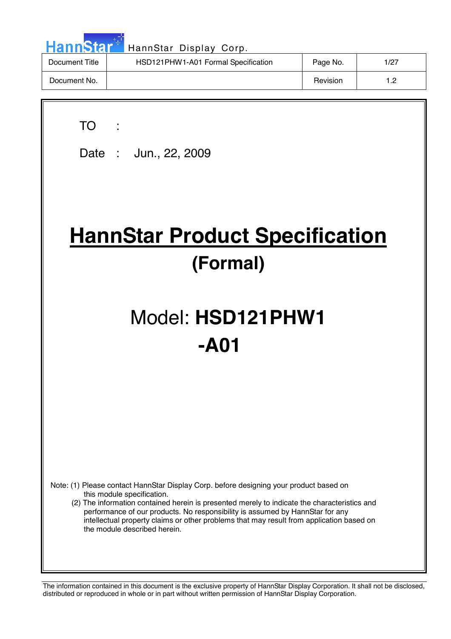| <b>HannStar</b><br>HannStar Display Corp. |                                     |          |      |  |  |  |
|-------------------------------------------|-------------------------------------|----------|------|--|--|--|
| Document Title                            | HSD121PHW1-A01 Formal Specification | Page No. | 1/27 |  |  |  |
| Document No.                              |                                     | Revision | 1.2  |  |  |  |

 $\overline{\phantom{a}}$ 

| <b>TO</b><br>Date: Jun., 22, 2009                                                                                                                                                                                                                                                                                                                                                                                                 |  |  |  |  |  |
|-----------------------------------------------------------------------------------------------------------------------------------------------------------------------------------------------------------------------------------------------------------------------------------------------------------------------------------------------------------------------------------------------------------------------------------|--|--|--|--|--|
| <b>HannStar Product Specification</b><br>(Formal)                                                                                                                                                                                                                                                                                                                                                                                 |  |  |  |  |  |
| Model: HSD121PHW1<br>-A01                                                                                                                                                                                                                                                                                                                                                                                                         |  |  |  |  |  |
|                                                                                                                                                                                                                                                                                                                                                                                                                                   |  |  |  |  |  |
| Note: (1) Please contact HannStar Display Corp. before designing your product based on<br>this module specification.<br>(2) The information contained herein is presented merely to indicate the characteristics and<br>performance of our products. No responsibility is assumed by HannStar for any<br>intellectual property claims or other problems that may result from application based on<br>the module described herein. |  |  |  |  |  |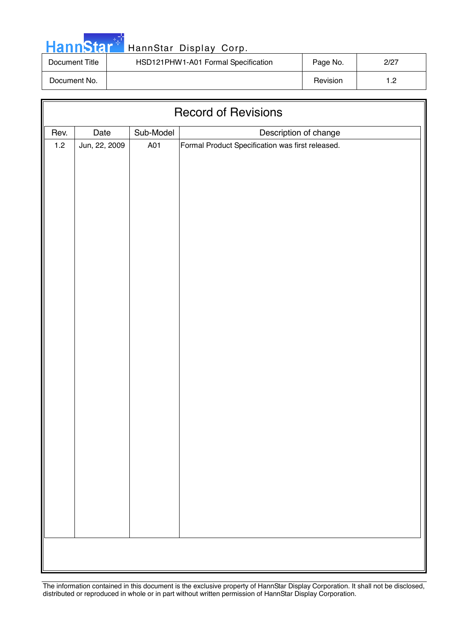|  | <b>HannStar</b> |  |
|--|-----------------|--|

| Document Title | HSD121PHW1-A01 Formal Specification | Page No. | 2/27 |
|----------------|-------------------------------------|----------|------|
| Document No.   |                                     | Revision | - פ  |

| <b>Record of Revisions</b> |               |           |                                                  |  |  |
|----------------------------|---------------|-----------|--------------------------------------------------|--|--|
| Rev.                       | Date          | Sub-Model | Description of change                            |  |  |
| $1.2$                      | Jun, 22, 2009 | A01       | Formal Product Specification was first released. |  |  |
|                            |               |           |                                                  |  |  |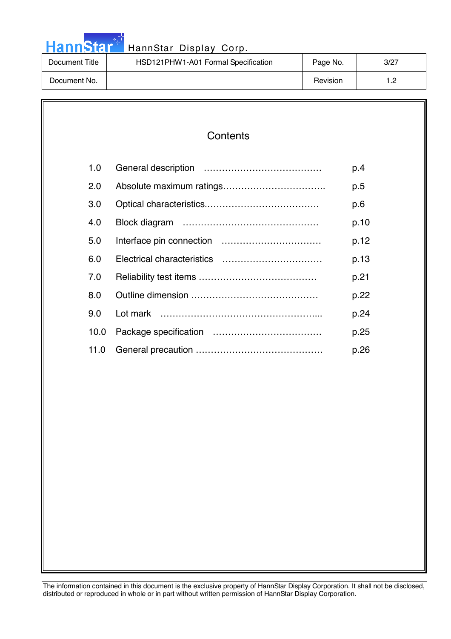|  |  | <b>HannStar</b> |  |
|--|--|-----------------|--|
|  |  |                 |  |

| Document Title | HSD121PHW1-A01 Formal Specification | Page No. | 3/27 |
|----------------|-------------------------------------|----------|------|
| Document No.   |                                     | Revision | 1.2  |

### **Contents**

| 1.0  | p.4  |
|------|------|
| 2.0  | p.5  |
| 3.0  | p.6  |
| 4.0  | p.10 |
| 5.0  | p.12 |
| 6.0  | p.13 |
| 7.0  | p.21 |
| 8.0  | p.22 |
| 9.0  | p.24 |
| 10.0 | p.25 |
| 11.0 | p.26 |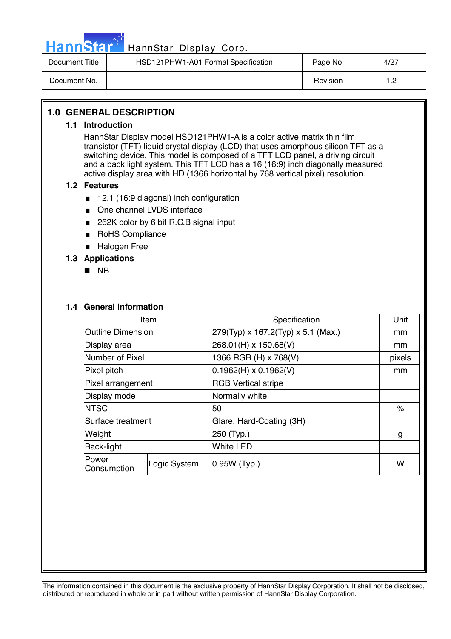

| Document Title | HSD121PHW1-A01 Formal Specification | Page No. | 4/27 |
|----------------|-------------------------------------|----------|------|
| Document No.   |                                     | Revision | - ה  |

### **1.0 GENERAL DESCRIPTION**

### **1.1 Introduction**

HannStar Display model HSD121PHW1-A is a color active matrix thin film transistor (TFT) liquid crystal display (LCD) that uses amorphous silicon TFT as a switching device. This model is composed of a TFT LCD panel, a driving circuit and a back light system. This TFT LCD has a 16 (16:9) inch diagonally measured active display area with HD (1366 horizontal by 768 vertical pixel) resolution.

### **1.2 Features**

- 12.1 (16:9 diagonal) inch configuration
- One channel LVDS interface
- 262K color by 6 bit R.G.B signal input
- RoHS Compliance
- Halogen Free

### **1.3 Applications**

! NB

### **1.4 General information**

| Item                     |              | Specification                      | Unit   |
|--------------------------|--------------|------------------------------------|--------|
| <b>Outline Dimension</b> |              | 279(Typ) x 167.2(Typ) x 5.1 (Max.) | mm     |
| Display area             |              | 268.01(H) x 150.68(V)              | mm     |
| Number of Pixel          |              | 1366 RGB (H) x 768(V)              | pixels |
| Pixel pitch              |              | $0.1962(H) \times 0.1962(V)$       | mm     |
| Pixel arrangement        |              | <b>RGB Vertical stripe</b>         |        |
| Display mode             |              | Normally white                     |        |
| <b>NTSC</b>              |              | 50                                 | $\%$   |
| Surface treatment        |              | Glare, Hard-Coating (3H)           |        |
| Weight                   |              | 250 (Typ.)                         | g      |
| Back-light               |              | <b>White LED</b>                   |        |
| Power<br>Consumption     | Logic System | 0.95W (Typ.)                       |        |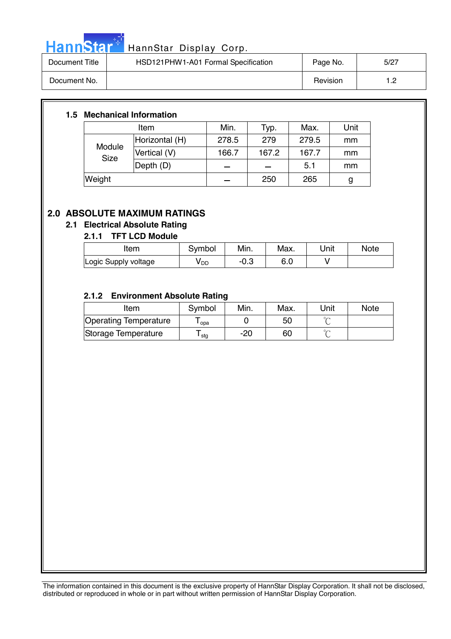

# HannStar<sup>t HannStar</sup> Display Corp.

| Document Title | HSD121PHW1-A01 Formal Specification | Page No. | 5/27 |
|----------------|-------------------------------------|----------|------|
| Document No.   |                                     | Revision | - מ  |

### **1.5 Mechanical Information**

| Item                  |                | Min.  | Typ.  | Max.  | Unit |
|-----------------------|----------------|-------|-------|-------|------|
| Module<br><b>Size</b> | Horizontal (H) | 278.5 | 279   | 279.5 | mm   |
|                       | Vertical (V)   | 166.7 | 167.2 | 167.7 | mm   |
|                       | Depth (D)      |       |       | 5.1   | mm   |
| Weight                |                |       | 250   | 265   | g    |

### **2.0 ABSOLUTE MAXIMUM RATINGS**

### **2.1 Electrical Absolute Rating**

### **2.1.1 TFT LCD Module**

| Item                 | Symbol          | Min. | Max. | Unit | <b>Note</b> |
|----------------------|-----------------|------|------|------|-------------|
| Logic Supply voltage | y <sub>DD</sub> | −∪.ം | o.u  |      |             |

### **2.1.2 Environment Absolute Rating**

| Item                  | Symbol           | Min. | Max. | Unit | <b>Note</b> |
|-----------------------|------------------|------|------|------|-------------|
| Operating Temperature | opa              |      | 50   |      |             |
| Storage Temperature   | <sup>l</sup> stg | -20  | 60   |      |             |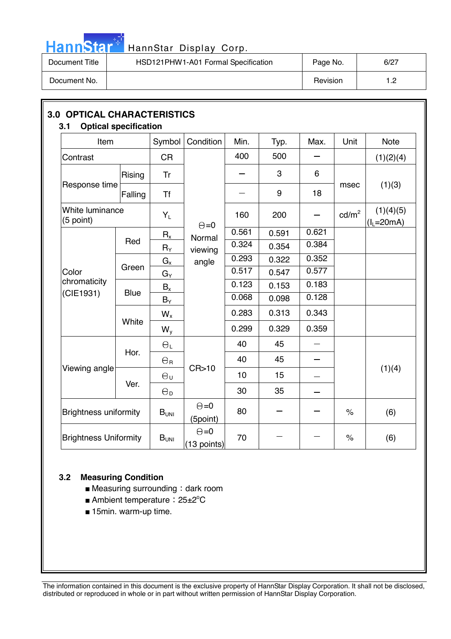

# HannStar<sup>t H</sup> HannStar Display Corp.

| Document Title | HSD121PHW1-A01 Formal Specification | Page No. | 6/27                |
|----------------|-------------------------------------|----------|---------------------|
| Document No.   |                                     | Revision | ר +<br>. <u>. .</u> |

| Item                                                         |             | Symbol                | Condition                     | Min.  | Typ.  | Max.  | Unit                 | <b>Note</b>                 |  |
|--------------------------------------------------------------|-------------|-----------------------|-------------------------------|-------|-------|-------|----------------------|-----------------------------|--|
| Contrast                                                     |             | <b>CR</b>             |                               | 400   | 500   |       |                      | (1)(2)(4)                   |  |
|                                                              | Rising      | <b>Tr</b>             |                               |       | 3     | 6     |                      |                             |  |
| Response time                                                | Falling     | <b>Tf</b>             |                               |       | 9     | 18    | msec                 | (1)(3)                      |  |
| White luminance<br>(5 point)                                 |             | $Y_L$                 | $\Theta = 0$                  | 160   | 200   |       | cd/m <sup>2</sup>    | (1)(4)(5)<br>$(I_1 = 20mA)$ |  |
|                                                              |             | $R_{x}$               | Normal                        | 0.561 | 0.591 | 0.621 |                      |                             |  |
|                                                              | Red         | $R_\Upsilon$          | viewing                       | 0.324 | 0.354 | 0.384 |                      |                             |  |
|                                                              |             | $G_{x}$               | angle                         | 0.293 | 0.322 | 0.352 |                      |                             |  |
| Color                                                        | Green       | $G_Y$                 |                               | 0.517 | 0.547 | 0.577 |                      |                             |  |
| chromaticity                                                 |             | $B_x$                 |                               | 0.123 | 0.153 | 0.183 |                      |                             |  |
| (CIE1931)                                                    | <b>Blue</b> | $B_Y$                 |                               | 0.068 | 0.098 | 0.128 |                      |                             |  |
|                                                              |             | $W_{x}$               |                               | 0.283 | 0.313 | 0.343 |                      |                             |  |
|                                                              | White       | $W_{y}$               |                               | 0.299 | 0.329 | 0.359 |                      |                             |  |
|                                                              | Hor.        | $\Theta_L$            |                               | 40    | 45    |       |                      |                             |  |
|                                                              |             | $\Theta_{\texttt{R}}$ |                               | 40    | 45    |       |                      |                             |  |
| Viewing angle                                                |             | $\Theta_{U}$          | CR>10                         | 10    | 15    |       |                      | (1)(4)                      |  |
|                                                              | Ver.        | $\Theta_{\mathsf{D}}$ |                               | 30    | 35    |       |                      |                             |  |
| <b>Brightness uniformity</b><br><b>Brightness Uniformity</b> |             | $B_{UNI}$             | $\Theta = 0$<br>(5point)      | 80    |       |       | $\frac{1}{\sqrt{2}}$ | (6)                         |  |
|                                                              |             | $B_{UNI}$             | $\Theta = 0$<br>$(13$ points) | 70    |       |       | $\%$                 | (6)                         |  |

### **3.2 Measuring Condition**

- $\blacksquare$  Measuring surrounding : dark room
- Ambient temperature: 25±2<sup>°</sup>C
- 15min. warm-up time.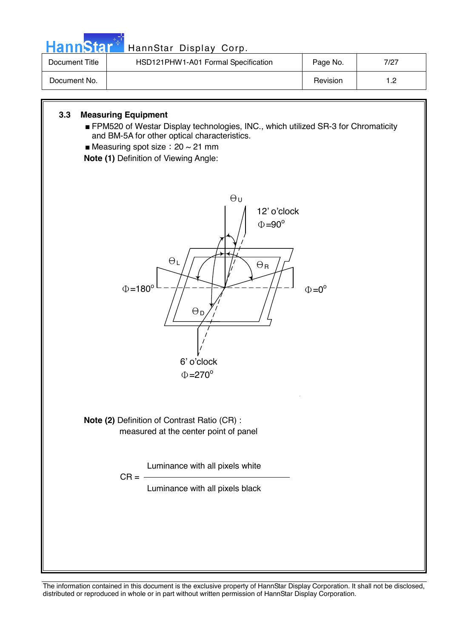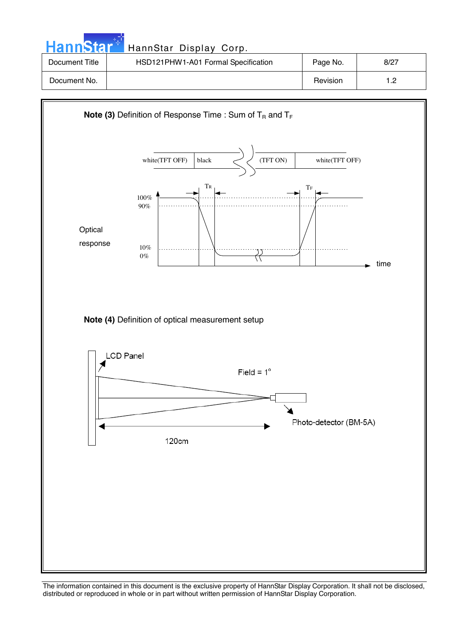| HannStar <sup>+</sup> | HannStar Display Corp.              |          |      |
|-----------------------|-------------------------------------|----------|------|
| Document Title        | HSD121PHW1-A01 Formal Specification | Page No. | 8/27 |
| Document No.          |                                     | Revision | 1.2  |

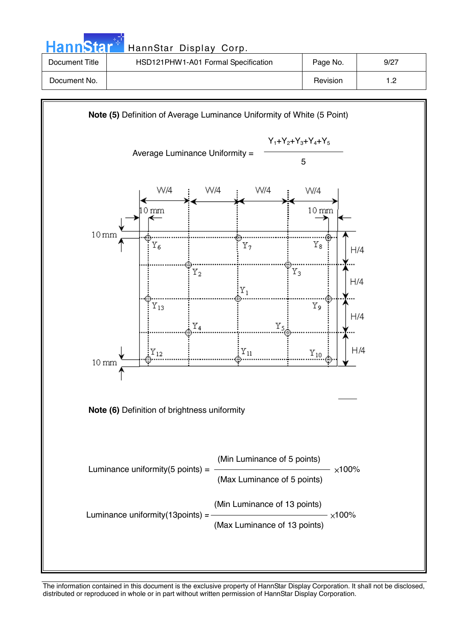| <b>HannStar</b> * | HannStar Display Corp.              |          |      |
|-------------------|-------------------------------------|----------|------|
| Document Title    | HSD121PHW1-A01 Formal Specification | Page No. | 9/27 |
| Document No.      |                                     | Revision | 1.2  |

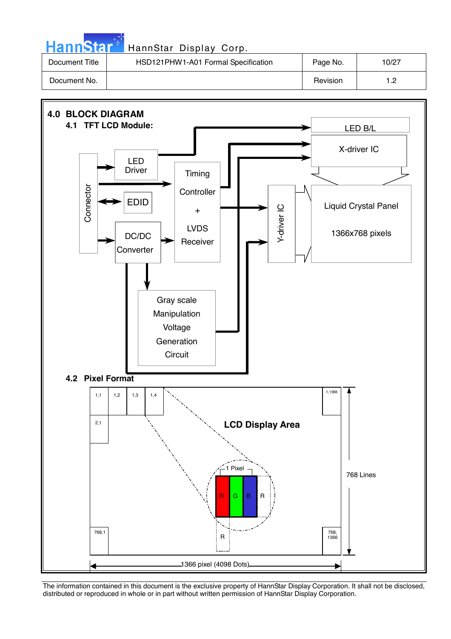| <b>HannStar</b> * | HannStar Display Corp.              |          |       |
|-------------------|-------------------------------------|----------|-------|
| Document Title    | HSD121PHW1-A01 Formal Specification | Page No. | 10/27 |
| Document No.      |                                     | Revision | 1.2   |

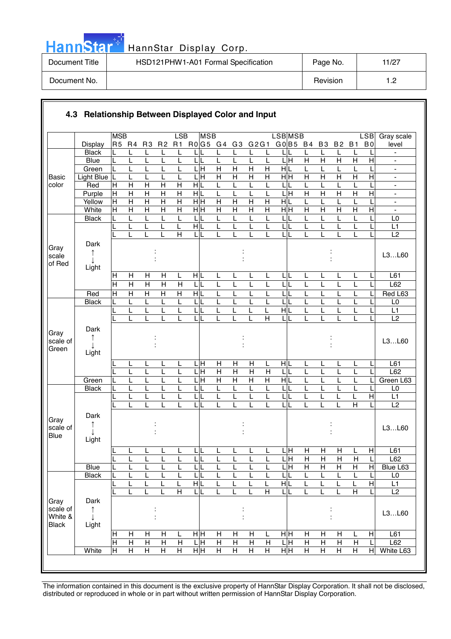|  | ann | 6 |  |
|--|-----|---|--|

| Document Title | HSD121PHW1-A01 Formal Specification | Page No. | 11/27 |
|----------------|-------------------------------------|----------|-------|
| Document No.   |                                     | Revision |       |

|                                             |                    | <b>MSB</b>     |                                  |                                           |                                           | LSB                                       | <b>MSB</b>             |                              |                |                     |                         | <b>LSB</b> MSB               |                     |                     |                         |                              | <b>LSB</b>                | Gray scale                                     |
|---------------------------------------------|--------------------|----------------|----------------------------------|-------------------------------------------|-------------------------------------------|-------------------------------------------|------------------------|------------------------------|----------------|---------------------|-------------------------|------------------------------|---------------------|---------------------|-------------------------|------------------------------|---------------------------|------------------------------------------------|
|                                             | Display            | R5 R4          |                                  | R <sub>3</sub>                            | R <sub>2</sub>                            | R1                                        | R0G5 G4                |                              | G3             | G2G1                |                         | G0 B5 B4                     |                     | <b>B3</b>           | <b>B2</b>               | <b>B1</b>                    | B <sub>0</sub>            | level                                          |
|                                             | <b>Black</b>       |                | L                                | L                                         | L                                         |                                           |                        |                              |                |                     | L                       |                              | L                   | L                   | L                       |                              |                           |                                                |
|                                             | <b>Blue</b>        | L              | L                                | L                                         |                                           | L                                         | L<br>L                 | L                            | L              | L                   | L                       | 듴                            | $\overline{H}$      | $\overline{H}$      | $\overline{\mathsf{H}}$ | $\overline{H}$               | $\overline{H}$            |                                                |
|                                             | Green              | L              | L                                | L                                         |                                           | L                                         | ГH                     | $\overline{H}$               | $\overline{H}$ | $\overline{H}$      | $\overline{H}$          | $\frac{1}{\sqrt{2}}$         | L                   | L                   | L                       |                              |                           | $\blacksquare$                                 |
| <b>Basic</b>                                | Light Blue         | L              | L                                | L                                         | L                                         | L                                         | LН                     | $\overline{H}$               | $\mathsf{H}$   | $\mathsf{H}$        | H                       | H H                          | $\overline{H}$      | H                   | $\overline{H}$          | $\overline{H}$               | Η                         | $\blacksquare$                                 |
| color                                       | Red                | $\mathsf{H}$   | H                                | H                                         | $\mathsf{H}$                              | Н                                         | HIL                    | L                            |                | L                   | L                       | L                            | L                   | L<br>$\overline{H}$ | L                       |                              |                           | $\overline{\phantom{a}}$                       |
|                                             | Purple<br>Yellow   | H<br>Ε         | $\overline{H}$<br>$\overline{H}$ | $\overline{H}$<br>$\overline{\mathsf{H}}$ | $\overline{H}$<br>$\overline{\mathsf{H}}$ | $\overline{H}$<br>$\overline{\mathsf{H}}$ | НĿ<br>$\overline{H}$ H | L<br>$\overline{\mathsf{H}}$ | $\overline{H}$ | L<br>$\overline{H}$ | L<br>$\overline{H}$     | L<br>Ξ<br>H L                | $\overline{H}$<br>L | L                   | $\overline{H}$<br>L     | $\overline{\mathsf{H}}$<br>L | $\overline{H}$            | $\blacksquare$<br>$\qquad \qquad \blacksquare$ |
|                                             | White              | H              | $\overline{H}$                   | $\overline{H}$                            | $\overline{\mathsf{H}}$                   | $\overline{H}$                            | $\overline{H}$ H       | $\overline{H}$               | $\overline{H}$ | $\overline{H}$      | $\overline{H}$          | H H                          | $\overline{H}$      | $\overline{H}$      | $\overline{H}$          | $\overline{H}$               | $\overline{H}$            | ä,                                             |
|                                             | <b>Black</b>       | L              | L                                | L                                         | L                                         | L                                         | L                      | L                            | L              | L                   | L                       | L                            | L                   | L                   | L                       | L                            |                           | L <sub>0</sub>                                 |
|                                             |                    | L              | L                                | L                                         | L                                         | L                                         | HIL                    | L                            | L              | L                   | L                       | L<br>L                       | L                   | L                   | L                       | L                            |                           | L1                                             |
|                                             |                    |                |                                  | L                                         | L                                         | $\overline{H}$                            | L                      | L                            |                | L                   | L                       | L<br>L                       | L                   |                     | L                       | L                            |                           | L2                                             |
| Gray<br>scale                               | Dark<br>↑          |                |                                  |                                           |                                           |                                           |                        |                              |                |                     |                         |                              |                     |                     |                         |                              |                           | L3L60                                          |
| of Red                                      | Light              |                |                                  |                                           |                                           |                                           |                        |                              |                |                     |                         |                              |                     |                     |                         |                              |                           |                                                |
|                                             |                    | H              | H                                | $\mathsf{H}$                              | Н                                         | L                                         | HL                     | L                            | L              | L                   | L                       | IL.<br>L                     | L                   | L                   | L                       | L                            |                           | L61                                            |
|                                             |                    | $\overline{H}$ | $\overline{H}$                   | $\overline{\mathsf{H}}$                   | $\overline{\mathsf{H}}$                   | $\overline{H}$                            | L<br>L                 | L                            | L              | L                   | L                       | L                            | L                   | L                   | L                       | L                            |                           | L62                                            |
|                                             | Red                | $\overline{H}$ | $\overline{H}$                   | $\overline{H}$                            | $\overline{H}$                            | $\overline{H}$                            | H L                    | L                            | L              | L                   | L                       | L                            | L                   | L                   | L                       | L                            |                           | Red L63                                        |
|                                             | <b>Black</b>       | L              | L                                | Г                                         | L                                         | L                                         | L<br>L                 | L                            | L              | L                   | L                       | L                            | L                   | L                   | L                       | L                            |                           | L <sub>0</sub>                                 |
|                                             |                    |                | L                                | L                                         | L                                         | L                                         | L                      | L                            | L              | L                   | L                       | HL                           | L                   | L                   | L                       | L                            |                           | L1                                             |
|                                             |                    |                | L                                | L                                         |                                           | L                                         | L                      | L                            |                | L                   | $\overline{H}$          | L                            | L                   |                     | L                       | L                            |                           | L2                                             |
| Gray<br>scale of<br>Green                   | Dark<br>↑<br>Light |                |                                  |                                           |                                           |                                           |                        |                              |                |                     |                         |                              |                     |                     |                         |                              |                           | L3L60                                          |
|                                             |                    |                | L                                | L                                         | L                                         | L                                         | . н<br>L               | Н                            | H              | Η                   | L                       | HL                           | L                   | L                   | L                       | L                            | L                         | L61                                            |
|                                             |                    |                | L                                | L                                         | L                                         | L                                         | .H<br>I                | $\overline{H}$               | $\overline{H}$ | $\overline{H}$      | $\mathsf{H}$            | L                            | L                   | L                   | L                       |                              |                           | L62                                            |
|                                             | Green              |                | L                                | L                                         |                                           |                                           | $ \mathsf{H} $         | $\overline{H}$               | $\overline{H}$ | $\overline{H}$      | $\overline{H}$          | H L                          | L                   |                     | L                       |                              |                           | Green L63                                      |
|                                             | <b>Black</b>       |                | L                                | L                                         |                                           | L                                         | L                      | L                            | L              | L                   | L                       | L                            | L                   |                     | L                       |                              |                           | L <sub>0</sub>                                 |
|                                             |                    |                | L                                | L                                         |                                           |                                           | L                      | L                            |                |                     | L                       | L                            | L                   |                     | L                       |                              | $\overline{H}$            | L1                                             |
|                                             |                    |                | L                                | L                                         |                                           |                                           | L                      | L                            | L              | L                   | L                       | L                            | L                   | L                   | L                       | $\overline{\mathsf{H}}$      |                           | L2                                             |
| Gray<br>scale of<br>Blue                    | Dark<br>Light      |                |                                  |                                           |                                           |                                           |                        |                              |                |                     |                         |                              |                     |                     |                         |                              |                           | L3L60                                          |
|                                             |                    |                | <u>ь</u>                         | r.                                        | ┕                                         | щ                                         | ┕                      | ш                            | ┕              | ┕                   |                         | ЦH                           | $\overline{H}$      | H                   | $\mathsf{H}$            | щ                            | H                         | L61                                            |
|                                             |                    | L              | L                                | L                                         | L                                         | L                                         | $\mathsf{L}$<br>L      | L                            | L              | L                   | L                       | 믘                            | H                   | $\mathsf{H}$        | H                       | $\mathsf{H}$                 | L                         | L62                                            |
|                                             | <b>Blue</b>        |                | L                                | L                                         | L                                         | L                                         | LI                     | L                            |                | L                   | L                       | $\overline{\mathsf{H}}$<br>L | $\overline{H}$      | $\overline{H}$      | $\overline{H}$          | Н                            | H                         | Blue L63                                       |
|                                             | <b>Black</b>       |                | L                                | L                                         |                                           | L                                         | 니                      | L                            |                | L                   | L                       | L                            | L                   | L                   | L                       | L                            | L                         | $\mathsf{L0}$                                  |
|                                             |                    |                | L                                | L                                         |                                           | L                                         | H L                    | L                            |                | L                   | L                       | НL                           | L                   | L                   | L                       |                              | $\overline{H}$            | L1                                             |
|                                             |                    |                | L                                | L                                         | L                                         | $\overline{H}$                            | LL                     | L                            | L              | L                   | $\overline{\mathsf{H}}$ | LL                           | L                   | L                   | L                       | $\overline{H}$               |                           | L2                                             |
| Gray<br>scale of<br>White &<br><b>Black</b> | Dark<br>↑<br>Light |                |                                  |                                           |                                           |                                           |                        |                              |                |                     |                         |                              |                     |                     |                         |                              |                           | L3L60                                          |
|                                             |                    | H              | H                                | H                                         | н                                         | L                                         | нĮн                    | H                            | Н              | H                   | L                       | нH                           | H                   | Н                   | H                       | L                            | $\boldsymbol{\mathsf{H}}$ | L61                                            |
|                                             |                    | $\overline{H}$ | $\mathsf{H}$                     | $\overline{H}$                            | $\overline{H}$                            | H                                         | LН                     | $\overline{H}$               | $\overline{H}$ | $\overline{H}$      | H                       | ГH                           | $\overline{H}$      | $\mathsf{H}$        | $\overline{H}$          | $\mathsf{H}$                 |                           | L62                                            |
|                                             | White              | $\pm$          | H                                | $\overline{H}$                            | $\overline{H}$                            | H                                         | H H                    | $\overline{H}$               | Н              | Η                   | $\overline{H}$          | H H                          | Н                   | H                   | Н                       | $\overline{H}$               | $\overline{H}$            | White L63                                      |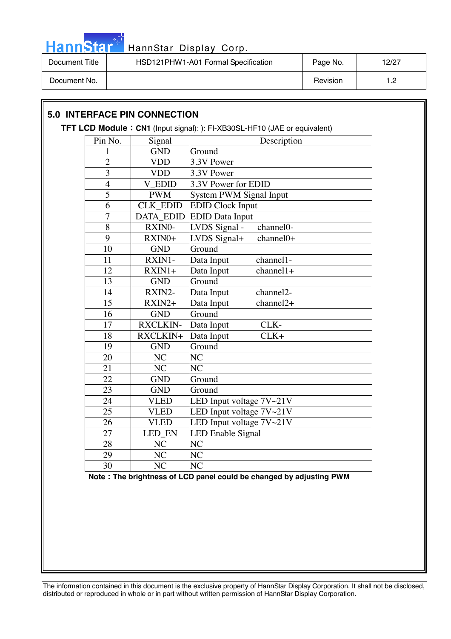

| Document Title | HSD121PHW1-A01 Formal Specification | Page No. | 12/27 |
|----------------|-------------------------------------|----------|-------|
| Document No.   |                                     | Revision |       |

### **5.0 INTERFACE PIN CONNECTION**

#### **TFT LCD Module CN1** (Input signal): ): FI-XB30SL-HF10 (JAE or equivalent)

| Pin No.         | Signal                 | Description                          |
|-----------------|------------------------|--------------------------------------|
| $\mathbf{1}$    | <b>GND</b>             | Ground                               |
| $\overline{c}$  | <b>VDD</b>             | 3.3V Power                           |
| $\overline{3}$  | <b>VDD</b>             | 3.3V Power                           |
| $\overline{4}$  | <b>V</b> EDID          | 3.3V Power for EDID                  |
| $\overline{5}$  | <b>PWM</b>             | System PWM Signal Input              |
| $\overline{6}$  | <b>CLK EDID</b>        | <b>EDID Clock Input</b>              |
| $\overline{7}$  | <b>DATA EDID</b>       | <b>EDID Data Input</b>               |
| 8               | RXINO-                 | channel0-<br>LVDS Signal -           |
| 9               | RXIN0+                 | LVDS Signal+<br>channel0+            |
| 10              | <b>GND</b>             | Ground                               |
| 11              | RXIN1-                 | Data Input<br>channel1-              |
| 12              | $RXIN1+$               | Data Input<br>$channel1+$            |
| 13              | <b>GND</b>             | Ground                               |
| 14              | RXIN2-                 | Data Input<br>channel <sub>2</sub> - |
| $\overline{15}$ | $RXIN2+$               | $channel2+$<br>Data Input            |
| $\overline{16}$ | <b>GND</b>             | Ground                               |
| 17              | <b>RXCLKIN-</b>        | CLK-<br>Data Input                   |
| 18              | RXCLKIN+               | $CLK+$<br>Data Input                 |
| 19              | <b>GND</b>             | Ground                               |
| 20              | $\overline{\text{NC}}$ | $\overline{\text{NC}}$               |
| 21              | $\overline{\text{NC}}$ | $\overline{\rm NC}$                  |
| 22              | <b>GND</b>             | Ground                               |
| 23              | <b>GND</b>             | Ground                               |
| 24              | <b>VLED</b>            | LED Input voltage $7V~21V$           |
| 25              | <b>VLED</b>            | LED Input voltage $7V~21V$           |
| 26              | <b>VLED</b>            | LED Input voltage $7V~21V$           |
| 27              | <b>LED EN</b>          | LED Enable Signal                    |
| 28              | NC                     | NC                                   |
| 29              | NC                     | NC                                   |
| 30              | $\overline{\text{NC}}$ | $\overline{\text{NC}}$               |

**Note The brightness of LCD panel could be changed by adjusting PWM**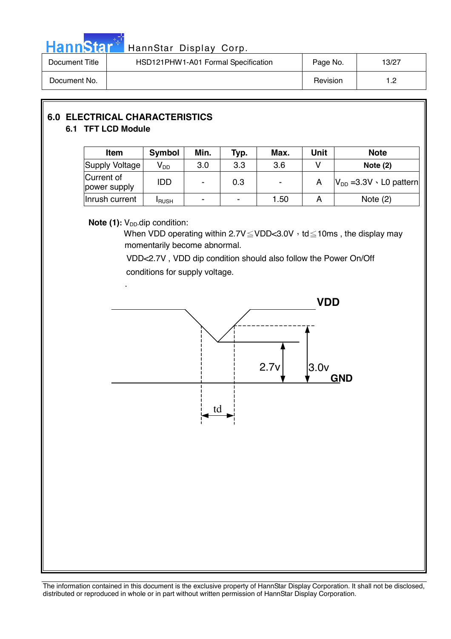

# Hann Star<sup>47</sup> HannStar Display Corp.

| Document Title | HSD121PHW1-A01 Formal Specification | Page No. | 13/27 |
|----------------|-------------------------------------|----------|-------|
| Document No.   |                                     | Revision | - מ   |

### **6.0 ELECTRICAL CHARACTERISTICS 6.1 TFT LCD Module**

| <b>Item</b>                | <b>Symbol</b>   | Min. | Typ.   | Max. | <b>Unit</b> | <b>Note</b>                       |
|----------------------------|-----------------|------|--------|------|-------------|-----------------------------------|
| Supply Voltage             | V <sub>DD</sub> | 3.0  | 3.3    | 3.6  |             | Note $(2)$                        |
| Current of<br>power supply | IDD             |      | 0.3    | ۰    |             | $ V_{DD} = 3.3V \cdot L0$ pattern |
| Inrush current             | <b>I</b> RUSH   | -    | $\sim$ | 1.50 |             | Note $(2)$                        |

### **Note (1):** V<sub>DD</sub>-dip condition:

When VDD operating within  $2.7V \leq VDD < 3.0V$ , td  $\leq 10$ ms, the display may momentarily become abnormal.

 VDD<2.7V , VDD dip condition should also follow the Power On/Off conditions for supply voltage.

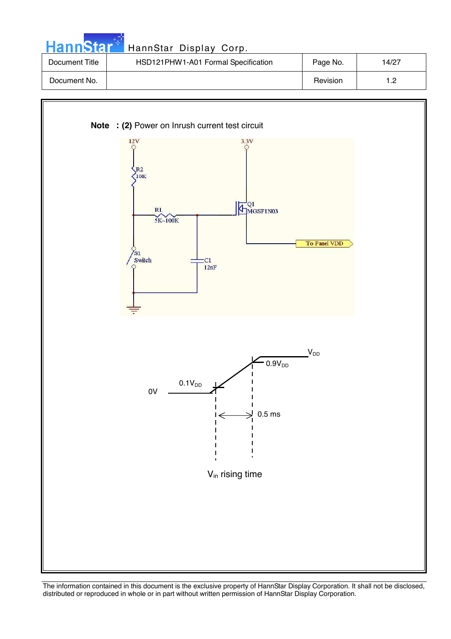| <b>HannStar</b> | HannStar Display Corp.              |          |       |
|-----------------|-------------------------------------|----------|-------|
| Document Title  | HSD121PHW1-A01 Formal Specification | Page No. | 14/27 |
| Document No.    |                                     | Revision | 1.2   |

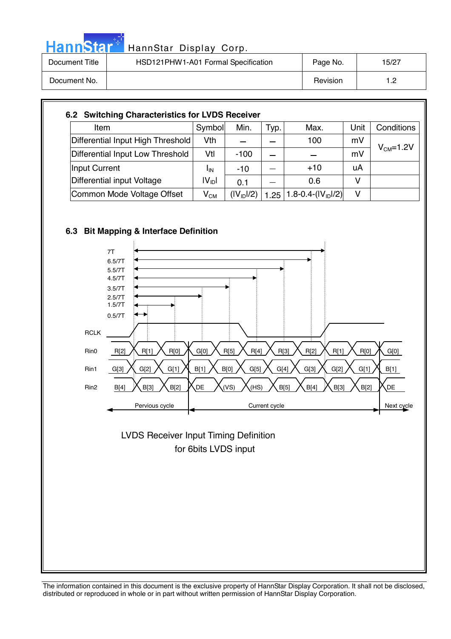| <b>lannStar</b> HannStar Display Corp. |  |  |
|----------------------------------------|--|--|
|                                        |  |  |

| Document Title | HSD121PHW1-A01 Formal Specification | Page No. | 15/27               |
|----------------|-------------------------------------|----------|---------------------|
| Document No.   |                                     | Revision | י -<br>. . <u>.</u> |

| Item                              | Symbol            | Min.                   | Typ. | Max.                    | Unit | Conditions |
|-----------------------------------|-------------------|------------------------|------|-------------------------|------|------------|
| Differential Input High Threshold | Vth               |                        |      | 100                     | mV   |            |
| Differential Input Low Threshold  | Vtl               | $-100$                 |      |                         | mV   | $VCM=1.2V$ |
| Input Current                     | <b>I</b> IN       | -10                    |      | $+10$                   | uA   |            |
| Differential input Voltage        | $ V_{\text{ID}} $ | 0.1                    |      | 0.6                     | v    |            |
| Common Mode Voltage Offset        | $V_{CM}$          | (IV <sub>ID</sub> ]/2) | 1.25 | $1.8 - 0.4 - (IV1D)/2)$ | v    |            |





 for 6bits LVDS input LVDS Receiver Input Timing Definition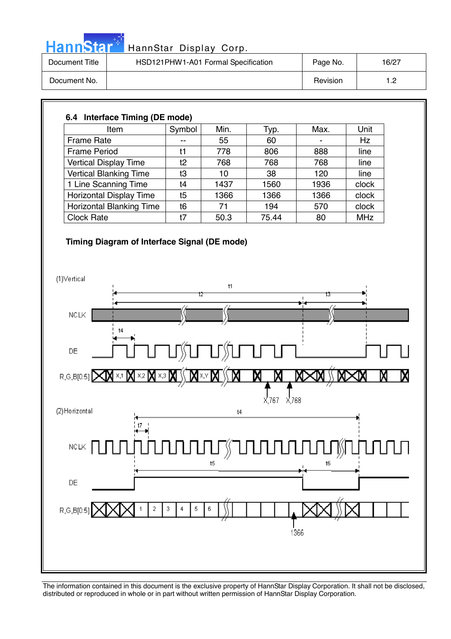|  | HannStal |  |
|--|----------|--|
|  |          |  |
|  |          |  |

| Document Title | HSD121PHW1-A01 Formal Specification | Page No. | 16/27 |
|----------------|-------------------------------------|----------|-------|
| Document No.   |                                     | Revision | ר ו-  |

### **6.4 Interface Timing (DE mode)**  Item  $\vert$  Symbol | Min. | Typ. | Max. | Unit Frame Rate  $\begin{vmatrix} -1 & 55 & 60 \end{vmatrix}$  - Hz Frame Period | t1 | 778 | 806 | 888 | line Vertical Display Time t2 768 768 768 line Vertical Blanking Time  $\begin{array}{|c|c|c|c|c|c|c|c|c|} \hline \end{array}$  10  $\begin{array}{|c|c|c|c|c|c|c|c|} \hline \end{array}$  38  $\begin{array}{|c|c|c|c|c|c|} \hline \end{array}$  120  $\begin{array}{|c|c|c|c|c|c|c|c|c|} \hline \end{array}$  line 1 Line Scanning Time t4 1437 1560 1936 clock Horizontal Display Time | t5 | 1366 | 1366 | 1366 | clock Horizontal Blanking Time t6 71 194 570 clock Clock Rate 1 t7 50.3 75.44 80 MHz

### **Timing Diagram of Interface Signal (DE mode)**

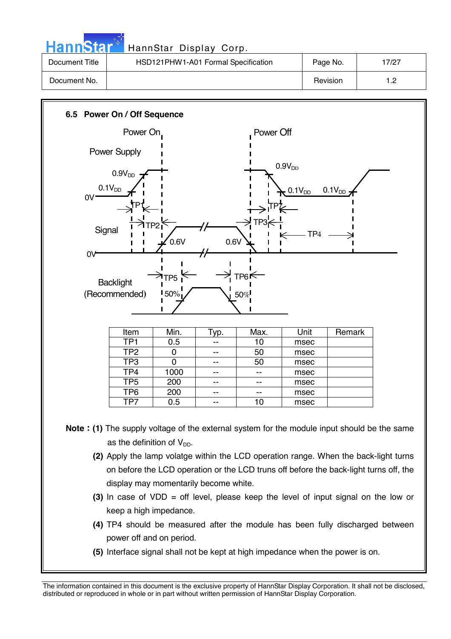| <b>Hannstar</b> | HannStar Display Corp.              |          |       |
|-----------------|-------------------------------------|----------|-------|
| Document Title  | HSD121PHW1-A01 Formal Specification | Page No. | 17/27 |
| Document No.    |                                     | Revision | 1.2   |

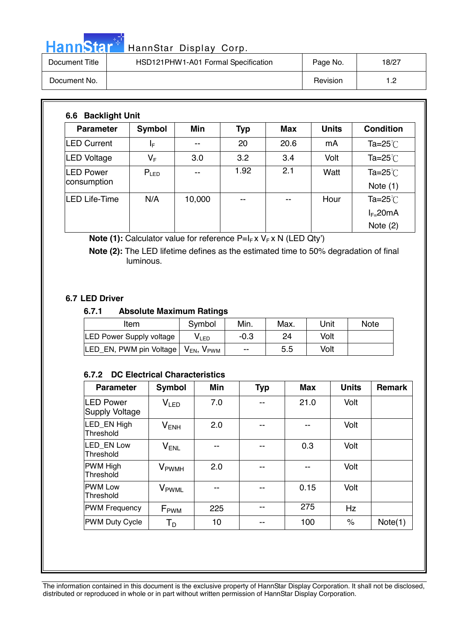# HannStar<sup>+</sup> HannStar Display Corp.

| пеннэцаг       | Hallistal Display Colp.             |          |       |
|----------------|-------------------------------------|----------|-------|
| Document Title | HSD121PHW1-A01 Formal Specification | Page No. | 18/27 |
| Document No.   |                                     | Revision | 1.2   |

| <b>Parameter</b>                | Symbol           | <b>Min</b> | <b>Typ</b> | <b>Max</b> | <b>Units</b> | <b>Condition</b>                 |
|---------------------------------|------------------|------------|------------|------------|--------------|----------------------------------|
| <b>LED Current</b>              | ΙF               | --         | 20         | 20.6       | mA           | Ta= $25^{\circ}$                 |
| <b>LED Voltage</b>              | $V_{\mathsf{F}}$ | 3.0        | 3.2        | 3.4        | Volt         | Ta=25 $°C$                       |
| <b>LED Power</b><br>consumption | $P_{LED}$        |            | 1.92       | 2.1        | Watt         | Ta= $25^{\circ}$ C<br>Note $(1)$ |
| <b>LED Life-Time</b>            | N/A              | 10,000     | --         | --         | Hour         | Ta= $25^{\circ}$                 |
|                                 |                  |            |            |            |              | $I_{F=}$ 20mA                    |
|                                 |                  |            |            |            |              | Note $(2)$                       |

**Note (1):** Calculator value for reference P=I<sub>F</sub> x V<sub>F</sub> x N (LED Qty')

 **Note (2):** The LED lifetime defines as the estimated time to 50% degradation of final luminous.

### **6.7 LED Driver**

### **6.7.1 Absolute Maximum Ratings**

| Item                                                         | Symbol | Min.   | Max. | Unit | <b>Note</b> |
|--------------------------------------------------------------|--------|--------|------|------|-------------|
| <b>LED Power Supply voltage</b>                              | VLED   | $-0.3$ | 24   | Volt |             |
| LED_EN, PWM pin Voltage   V <sub>EN</sub> , V <sub>PWM</sub> |        | $- -$  | 5.5  | Volt |             |

### **6.7.2 DC Electrical Characteristics**

| <b>Parameter</b>                          | Symbol                   | <b>Min</b> | <b>Typ</b> | <b>Max</b> | <b>Units</b> | <b>Remark</b> |
|-------------------------------------------|--------------------------|------------|------------|------------|--------------|---------------|
| <b>LED Power</b><br><b>Supply Voltage</b> | V <sub>LED</sub>         | 7.0        | --         | 21.0       | Volt         |               |
| LED EN High<br>Threshold                  | $V_{ENH}$                | 2.0        | --         | $- -$      | Volt         |               |
| LED EN Low<br>Threshold                   | $V_{ENL}$                | --         | --         | 0.3        | Volt         |               |
| <b>PWM High</b><br>Threshold              | <b>V</b> <sub>PWMH</sub> | 2.0        |            |            | Volt         |               |
| <b>IPWM Low</b><br>Threshold              | V <sub>PWML</sub>        | --         |            | 0.15       | Volt         |               |
| <b>PWM Frequency</b>                      | $F_{\rm PWM}$            | 225        |            | 275        | Hz           |               |
| <b>PWM Duty Cycle</b>                     | $T_D$                    | 10         |            | 100        | $\%$         | Note(1)       |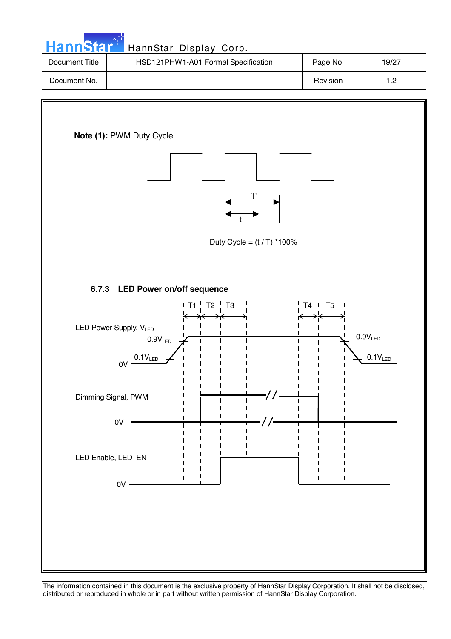| HannStar <sup>*</sup> | HannStar Display Corp.              |          |                  |
|-----------------------|-------------------------------------|----------|------------------|
| Document Title        | HSD121PHW1-A01 Formal Specification | Page No. | 19/27            |
| Document No.          |                                     | Revision | 1.2 <sub>2</sub> |

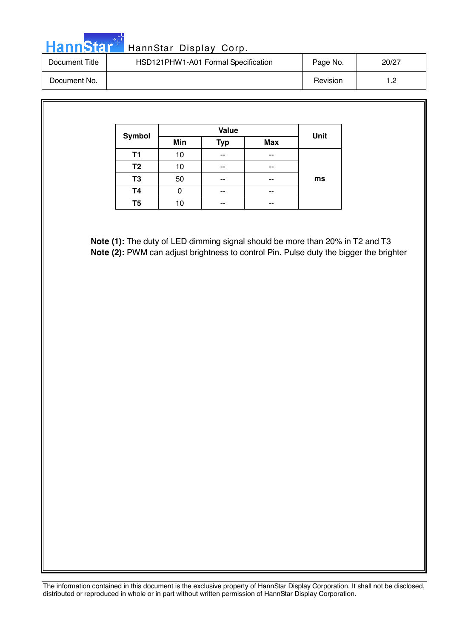|  |  | 'annStal | Ha |
|--|--|----------|----|

| Document Title | HSD121PHW1-A01 Formal Specification | Page No. | 20/27     |
|----------------|-------------------------------------|----------|-----------|
| Document No.   |                                     | Revision | 19<br>ے ، |

| Symbol         |     | <b>Value</b> |            | Unit |
|----------------|-----|--------------|------------|------|
|                | Min | <b>Typ</b>   | <b>Max</b> |      |
| T1             | 10  | --           | --         |      |
| T <sub>2</sub> | 10  | --           | --         |      |
| T3             | 50  | --           | --         | ms   |
| Τ4             | O   | --           | --         |      |
| T5             | 10  | --           | --         |      |

**Note (1):** The duty of LED dimming signal should be more than 20% in T2 and T3 **Note (2):** PWM can adjust brightness to control Pin. Pulse duty the bigger the brighter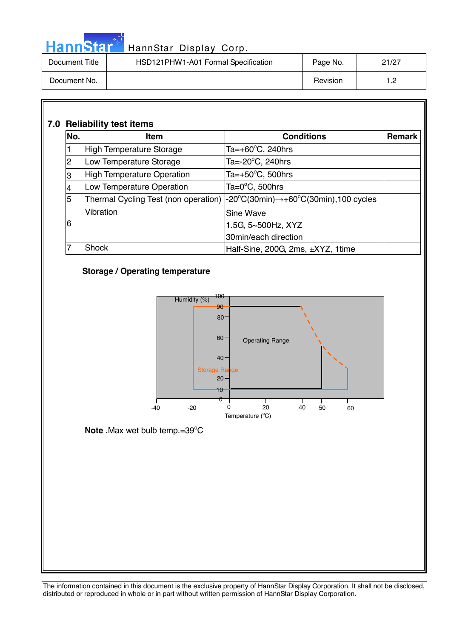|  |  | <u>annstal</u> |  |
|--|--|----------------|--|
|  |  |                |  |

| Document Title | HSD121PHW1-A01 Formal Specification | Page No. | 21/27 |
|----------------|-------------------------------------|----------|-------|
| Document No.   |                                     | Revision | 1.2   |

### **7.0 Reliability test items**

| No. | <b>Item</b>                       | <b>Conditions</b>                                                                                                      | <b>Remark</b> |
|-----|-----------------------------------|------------------------------------------------------------------------------------------------------------------------|---------------|
| 1   | <b>High Temperature Storage</b>   | Ta=+60°C, 240hrs                                                                                                       |               |
| 2   | Low Temperature Storage           | Ta=-20°C, 240hrs                                                                                                       |               |
| 3   | <b>High Temperature Operation</b> | Ta=+50°C, 500hrs                                                                                                       |               |
| 4   | Low Temperature Operation         | Ta=0 $^{\circ}$ C, 500hrs                                                                                              |               |
| 5   |                                   | Thermal Cycling Test (non operation) $ -20^{\circ}C(30\text{min}) \rightarrow +60^{\circ}C(30\text{min})$ , 100 cycles |               |
|     | Vibration                         | <b>Sine Wave</b>                                                                                                       |               |
| 6   |                                   | 1.5G, 5~500Hz, XYZ                                                                                                     |               |
|     |                                   | 30min/each direction                                                                                                   |               |
|     | <b>Shock</b>                      | Half-Sine, 200G, 2ms, ±XYZ, 1time                                                                                      |               |

### **Storage / Operating temperature**



### Note .Max wet bulb temp.=39°C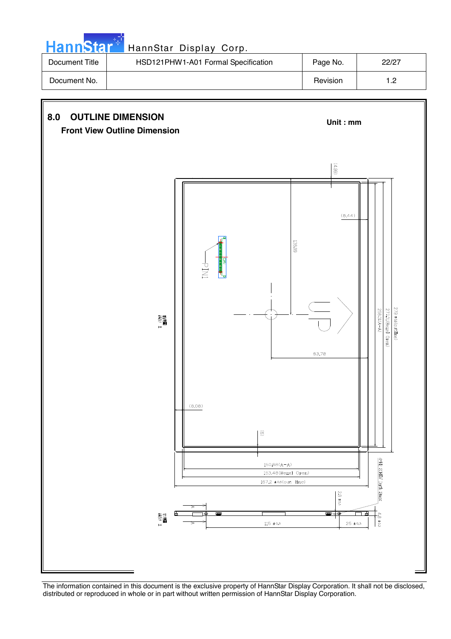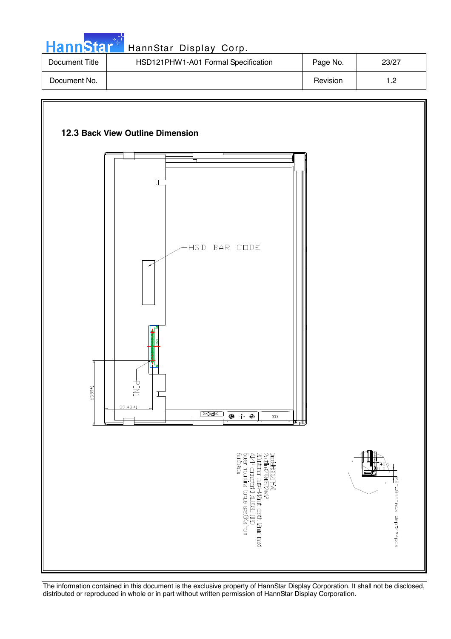![](_page_22_Picture_0.jpeg)

# HannStar<sup>t HannStar</sup> Display Corp.

| Document Title | HSD121PHW1-A01 Formal Specification | Page No. | 23/27 |
|----------------|-------------------------------------|----------|-------|
| Document No.   |                                     | Revision | ר 1   |

![](_page_22_Figure_3.jpeg)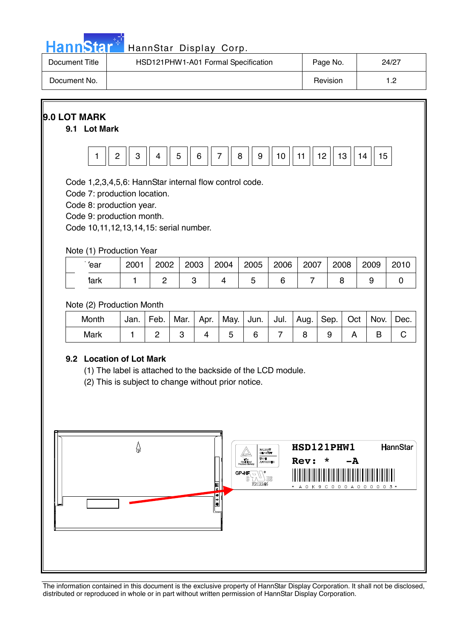|  |  | Hannistar |  |
|--|--|-----------|--|
|  |  |           |  |
|  |  |           |  |

| Document Title | HSD121PHW1-A01 Formal Specification | Page No. | 24/27 |
|----------------|-------------------------------------|----------|-------|
| Document No.   |                                     | Revision | ר י   |

![](_page_23_Figure_3.jpeg)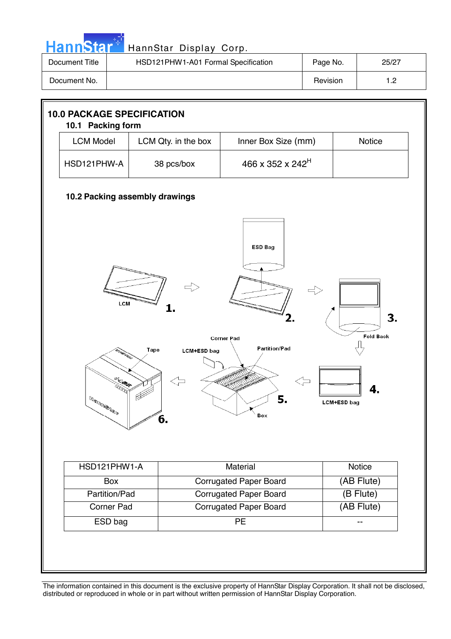| HannStar <sup>*</sup> | HannStar Display Corp.              |          |       |
|-----------------------|-------------------------------------|----------|-------|
| Document Title        | HSD121PHW1-A01 Formal Specification | Page No. | 25/27 |
| Document No.          |                                     | Revision | 1.2   |

![](_page_24_Figure_1.jpeg)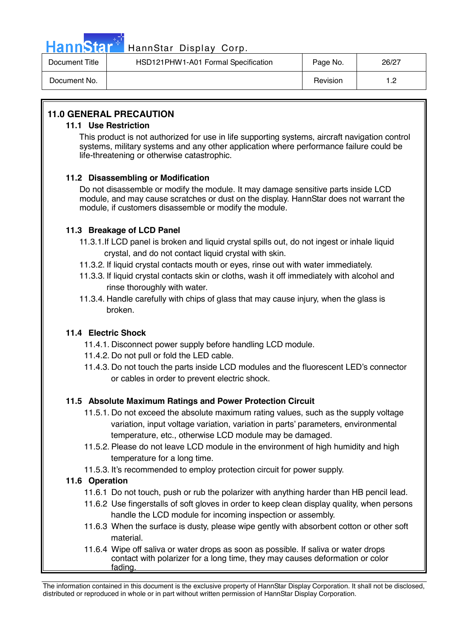![](_page_25_Picture_0.jpeg)

# HannStar<sup>1</sup> HannStar Display Corp.

| Document Title | HSD121PHW1-A01 Formal Specification | Page No. | 26/27 |
|----------------|-------------------------------------|----------|-------|
| Document No.   |                                     | Revision | ے. ا  |

### **11.0 GENERAL PRECAUTION**

### **11.1 Use Restriction**

This product is not authorized for use in life supporting systems, aircraft navigation control systems, military systems and any other application where performance failure could be life-threatening or otherwise catastrophic.

### **11.2 Disassembling or Modification**

 Do not disassemble or modify the module. It may damage sensitive parts inside LCD module, and may cause scratches or dust on the display. HannStar does not warrant the module, if customers disassemble or modify the module.

### **11.3 Breakage of LCD Panel**

- 11.3.1.If LCD panel is broken and liquid crystal spills out, do not ingest or inhale liquid crystal, and do not contact liquid crystal with skin.
- 11.3.2. If liquid crystal contacts mouth or eyes, rinse out with water immediately.
- 11.3.3. If liquid crystal contacts skin or cloths, wash it off immediately with alcohol and rinse thoroughly with water.
- 11.3.4. Handle carefully with chips of glass that may cause injury, when the glass is broken.

### **11.4 Electric Shock**

- 11.4.1. Disconnect power supply before handling LCD module.
- 11.4.2. Do not pull or fold the LED cable.
- 11.4.3. Do not touch the parts inside LCD modules and the fluorescent LED's connector or cables in order to prevent electric shock.

### **11.5 Absolute Maximum Ratings and Power Protection Circuit**

- 11.5.1. Do not exceed the absolute maximum rating values, such as the supply voltage variation, input voltage variation, variation in parts' parameters, environmental temperature, etc., otherwise LCD module may be damaged.
- 11.5.2. Please do not leave LCD module in the environment of high humidity and high temperature for a long time.
- 11.5.3. It's recommended to employ protection circuit for power supply.

### **11.6 Operation**

- 11.6.1 Do not touch, push or rub the polarizer with anything harder than HB pencil lead.
- 11.6.2 Use fingerstalls of soft gloves in order to keep clean display quality, when persons handle the LCD module for incoming inspection or assembly.
- 11.6.3 When the surface is dusty, please wipe gently with absorbent cotton or other soft material.
- 11.6.4 Wipe off saliva or water drops as soon as possible. If saliva or water drops contact with polarizer for a long time, they may causes deformation or color fading.